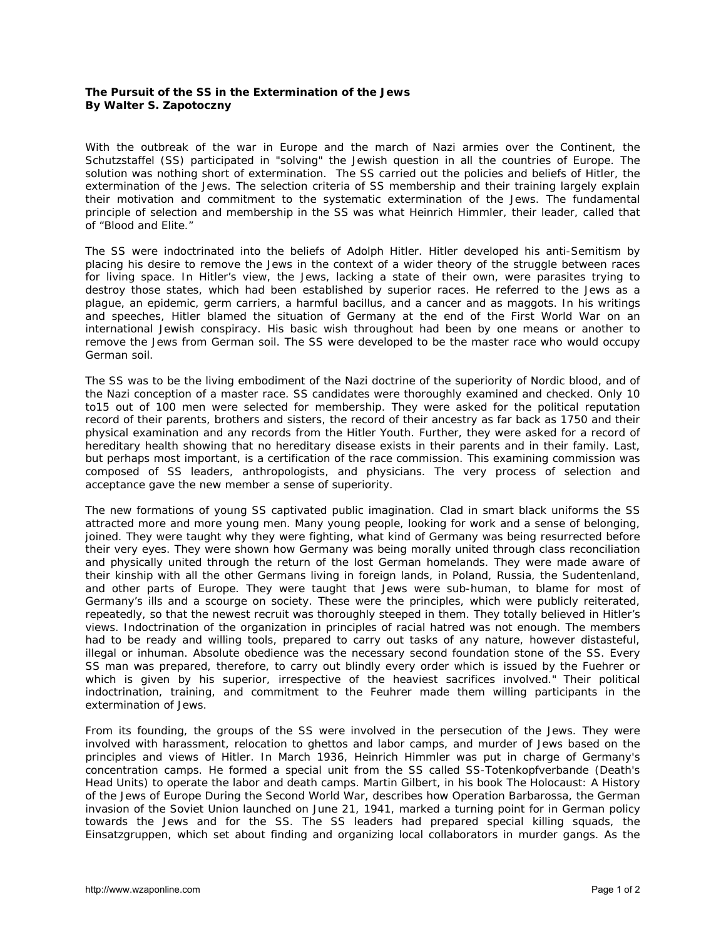## **The Pursuit of the SS in the Extermination of the Jews By Walter S. Zapotoczny**

With the outbreak of the war in Europe and the march of Nazi armies over the Continent, the Schutzstaffel (SS) participated in "solving" the Jewish question in all the countries of Europe. The solution was nothing short of extermination. The SS carried out the policies and beliefs of Hitler, the extermination of the Jews. The selection criteria of SS membership and their training largely explain their motivation and commitment to the systematic extermination of the Jews. The fundamental principle of selection and membership in the SS was what Heinrich Himmler, their leader, called that of "Blood and Elite."

The SS were indoctrinated into the beliefs of Adolph Hitler. Hitler developed his anti-Semitism by placing his desire to remove the Jews in the context of a wider theory of the struggle between races for living space. In Hitler's view, the Jews, lacking a state of their own, were parasites trying to destroy those states, which had been established by superior races. He referred to the Jews as a plague, an epidemic, germ carriers, a harmful bacillus, and a cancer and as maggots. In his writings and speeches, Hitler blamed the situation of Germany at the end of the First World War on an international Jewish conspiracy. His basic wish throughout had been by one means or another to remove the Jews from German soil. The SS were developed to be the master race who would occupy German soil.

The SS was to be the living embodiment of the Nazi doctrine of the superiority of Nordic blood, and of the Nazi conception of a master race. SS candidates were thoroughly examined and checked. Only 10 to15 out of 100 men were selected for membership. They were asked for the political reputation record of their parents, brothers and sisters, the record of their ancestry as far back as 1750 and their physical examination and any records from the Hitler Youth. Further, they were asked for a record of hereditary health showing that no hereditary disease exists in their parents and in their family. Last, but perhaps most important, is a certification of the race commission. This examining commission was composed of SS leaders, anthropologists, and physicians. The very process of selection and acceptance gave the new member a sense of superiority.

The new formations of young SS captivated public imagination. Clad in smart black uniforms the SS attracted more and more young men. Many young people, looking for work and a sense of belonging, joined. They were taught why they were fighting, what kind of Germany was being resurrected before their very eyes. They were shown how Germany was being morally united through class reconciliation and physically united through the return of the lost German homelands. They were made aware of their kinship with all the other Germans living in foreign lands, in Poland, Russia, the Sudentenland, and other parts of Europe. They were taught that Jews were sub-human, to blame for most of Germany's ills and a scourge on society. These were the principles, which were publicly reiterated, repeatedly, so that the newest recruit was thoroughly steeped in them. They totally believed in Hitler's views. Indoctrination of the organization in principles of racial hatred was not enough. The members had to be ready and willing tools, prepared to carry out tasks of any nature, however distasteful, illegal or inhuman. Absolute obedience was the necessary second foundation stone of the SS. Every SS man was prepared, therefore, to carry out blindly every order which is issued by the Fuehrer or which is given by his superior, irrespective of the heaviest sacrifices involved." Their political indoctrination, training, and commitment to the Feuhrer made them willing participants in the extermination of Jews.

From its founding, the groups of the SS were involved in the persecution of the Jews. They were involved with harassment, relocation to ghettos and labor camps, and murder of Jews based on the principles and views of Hitler. In March 1936, Heinrich Himmler was put in charge of Germany's concentration camps. He formed a special unit from the SS called SS-Totenkopfverbande (Death's Head Units) to operate the labor and death camps. Martin Gilbert, in his book *The Holocaust: A History of the Jews of Europe During the Second World War*, describes how Operation Barbarossa, the German invasion of the Soviet Union launched on June 21, 1941, marked a turning point for in German policy towards the Jews and for the SS. The SS leaders had prepared special killing squads, the Einsatzgruppen, which set about finding and organizing local collaborators in murder gangs. As the